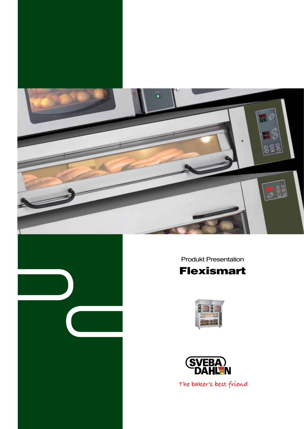



Produkt Presentation







The baker's best friend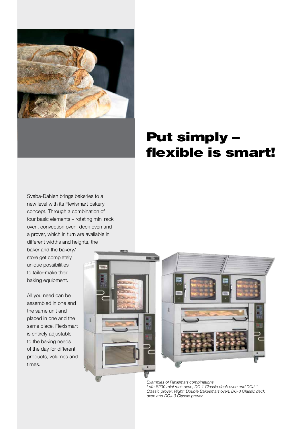

## Put simply – flexible is smart!

Sveba-Dahlen brings bakeries to a new level with its Flexismart bakery concept. Through a combination of four basic elements – rotating mini rack oven, convection oven, deck oven and a prover, which in turn are available in different widths and heights, the

baker and the bakery/ store get completely unique possibilities to tailor-make their baking equipment.

All you need can be assembled in one and the same unit and placed in one and the same place. Flexismart is entirely adjustable to the baking needs of the day for different products, volumes and times.





Examples of Flexismart combinations. Left: S200 mini rack oven, DC-1 Classic deck oven and DCJ-1 Classic prover. Right: Double Bakesmart oven, DC-3 Classic deck oven and DCJ-3 Classic prover.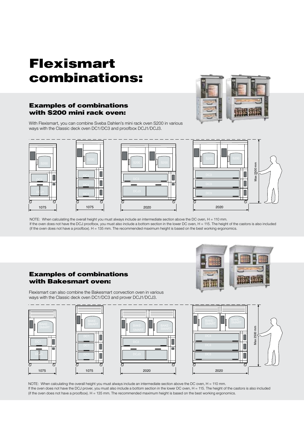# Flexismart combinations:

## Examples of combinations with S200 mini rack oven:

With Flexismart, you can combine Sveba Dahlen's mini rack oven S200 in various ways with the Classic deck oven DC1/DC3 and proofbox DCJ1/DCJ3.





NOTE: When calculating the overall height you must always include an intermediate section above the DC oven, H = 110 mm. If the oven does not have the DCJ proofbox, you must also include a bottom section in the lower DC oven, H = 115. The height of the castors is also included (if the oven does not have a proofbox). H = 135 mm. The recommended maximum height is based on the best working ergonomics.

### 1075 1075 2020 2020 with Bakesmart oven: Examples of combinations



ways with the Classic deck oven DC1/DC3 and prover DCJ1/DCJ3. Flexismart can also combine the Bakesmart convection oven in various









NOTE: When calculating the overall height you must always include an intermediate section above the DC oven, H = 110 mm. If the oven does not have the DCJ prover, you must also include a bottom section in the lower DC oven, H = 115. The height of the castors is also included (if the oven does not have a proofbox).  $H = 135$  mm. The recommended maximum height is based on the best working ergonomics.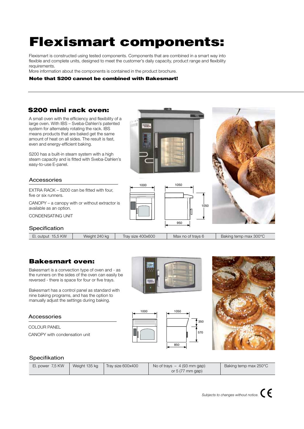# Flexismart components:

Flexismart is constructed using tested components. Components that are combined in a smart way into flexible and complete units, designed to meet the customer's daily capacity, product range and flexibility requirements.

More information about the components is contained in the product brochure.

#### Note that S200 cannot be combined with Bakesmart!

## S200 mini rack oven:

A small oven with the efficiency and flexibility of a large oven. With IBS – Sveba-Dahlen's patented system for alternately rotating the rack. IBS means products that are baked get the same amount of heat on all sides. The result is fast, even and energy-efficient baking.

S200 has a built-in steam system with a high steam capacity and is fitted with Sveba-Dahlen's easy-to-use E-panel.

#### Accessories

EXTRA RACK – S200 can be fitted with four, five or six runners.

Canopy – a canopy with or without extractor is available as an option.

CONDENSATING UNIT

#### Specification

 $950$ 

1050

### Bakesmart oven:

Bakesmart is a convection type of oven and - as the runners on the sides of the oven can easily be reversed - there is space for four or five trays.

Bakesmart has a control panel as standard with nine baking programs, and has the option to manually adjust the settings during baking. manually adjust the setting

#### Accessories

Colour panel Canopy with condensation unit







#### Specifikation

|  | El. power 7,5 KW | Weight 135 kg | Tray size 600x400 | No of trays $-4(93 \text{ mm qap})$<br>or $5(77 \text{ mm}$ gap) | Baking temp max 250°C |
|--|------------------|---------------|-------------------|------------------------------------------------------------------|-----------------------|
|--|------------------|---------------|-------------------|------------------------------------------------------------------|-----------------------|

340/400



1000 1050

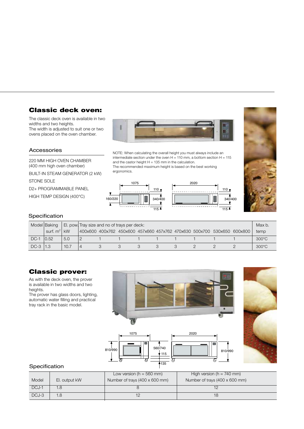## Classic deck oven:

The classic deck oven is available in two widths and two heights. The width is adjusted to suit one or two ovens placed on the oven chamber.



NOTE: When calculating the overall height you must always include an intermediate section under the oven  $H = 110$  mm, a bottom section  $H = 115$ 

The recommended maximum height is based on the best working

and the castor height  $H = 135$  mm in the calculation.

ergonomics.

810/990

#### Accessories

220 mm high oven chamber (400 mm high oven chamber)

Built-in steam generator (2 kW)

STONE SOLE

D2+ programmable panel

High temp design (400°C)





#### Specification

|        | Model Baking |      | El. pow. Tray size and no of trays per deck: |  |  |  |  |  | Max b.                                                                  |  |                 |
|--------|--------------|------|----------------------------------------------|--|--|--|--|--|-------------------------------------------------------------------------|--|-----------------|
|        | surf. $m^2$  | kW   |                                              |  |  |  |  |  | 400x600 400x762 450x600 457x660 457x762 470x630 500x700 530x650 600x800 |  | temp            |
| $DC-$  | 0.52         | 5.0  |                                              |  |  |  |  |  |                                                                         |  | $300^{\circ}$ C |
| $DC-3$ |              | 10.7 |                                              |  |  |  |  |  |                                                                         |  | $300^{\circ}$ C |

## Classic prover:

As with the deck oven, the prover is available in two widths and two heights.

The prover has glass doors, lighting, automatic water filling and practical tray rack in the basic model.





810/990

 $\overline{\sigma}$ 

950

#### Specification

|       |               | Low version ( $h = 560$ mm)    | High version ( $h = 740$ mm)   |
|-------|---------------|--------------------------------|--------------------------------|
| Model | El. output kW | Number of trays (400 x 600 mm) | Number of trays (400 x 600 mm) |
| DCJ-1 |               |                                |                                |
| DCJ-3 |               |                                | 18                             |

 $\int_{560/740}$ 

135

115